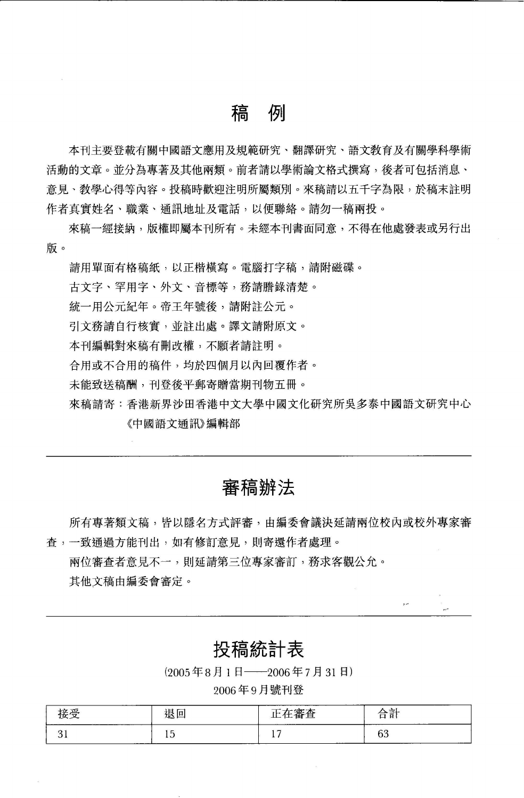## 稿例

本刊主要登載有關中國語文應用及規範研究、翻譯研究、語文教育及有關學科學術 活動的文章。並分為專著及其他兩類。前者請以學術論文格式撰寫,後者可包括消息、 意見、敎學心得等內容。投稿時歡迎注明所屬類別。來稿請以五千字為限,於稿末註明 作者真實姓名、職業、通訊地址及電話,以便聯絡。請勿一稿兩投。

來稿一經接納,版權即屬本刊所有。未經本刊書面同意,不得在他處發表或另行出 版。

請用單面有格稿紙,以正楷橫寫。電腦打字稿,請附磁碟。

古文字、罕用字、外文、音標等,務請膳錄清楚。

統一用公元紀年。帝王年號後,請附註公元。

引文務請自行核實,並註出處。譯文請附原文。

本刊編輯對來稿有刪改權,不顧者請註明。

合用或不合用的稿件,均於四個月以內回覆作者。

未能致送稿酬,刊登後平郵寄贈當期刊物五冊。

來稿請寄:香港新界沙田香港中文大學中國文化研究所吳多泰中國語文研究中心 《中國語文通訊》編輯部

## 審稿辦法

所有專著類文稿,皆以隱名方式評審,由編委會議決延請兩位校內或校外專家審 查,一致通過方能刊出,如有修訂意見,則寄還作者處理。

兩位審查者意見不一,則延請第三位專家審訂,務求客觀公允。 其他文稿由編委會審定。

### 投稿統計表

,,

(2005年8月1日 -- 2006年7月31日)

#### <sup>2006</sup> 月號刊登

| _______________<br>________ | $\overline{\phantom{0}}$<br>$-$<br>Ħ<br>. .<br>---- | <b>Contract Contract Contract</b><br>--<br>.<br>--<br>________<br>-- | -<br>_<br>________ |
|-----------------------------|-----------------------------------------------------|----------------------------------------------------------------------|--------------------|
| - -                         | ້                                                   | ۰<br>$-$                                                             | $\sim$<br>ັບ       |